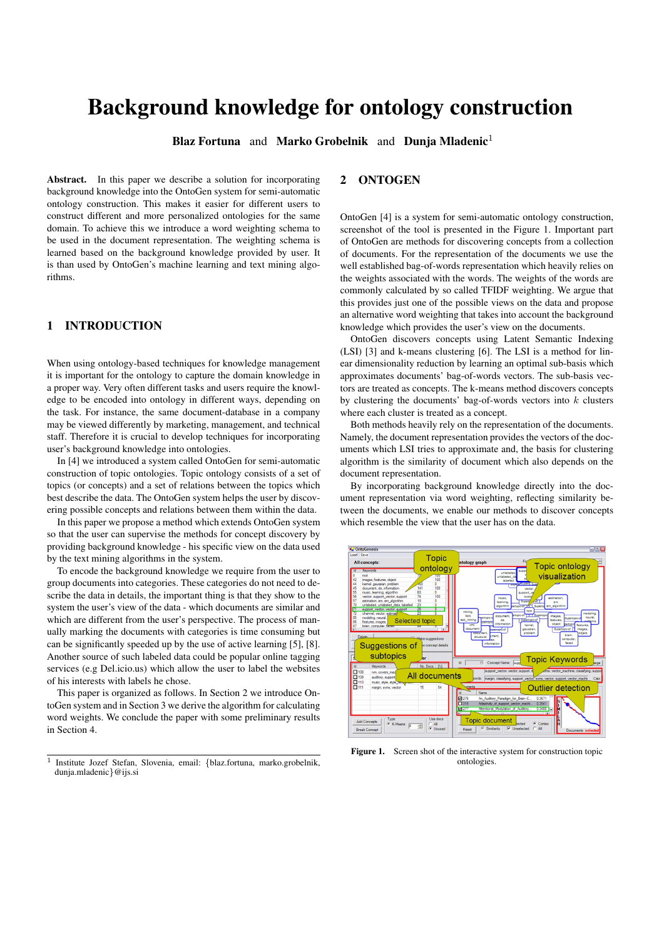# Background knowledge for ontology construction

**Blaz Fortuna** and Marko Grobelnik and Dunia Mladenic<sup>1</sup>

Abstract. In this paper we describe a solution for incorporating background knowledge into the OntoGen system for semi-automatic ontology construction. This makes it easier for different users to construct different and more personalized ontologies for the same domain. To achieve this we introduce a word weighting schema to be used in the document representation. The weighting schema is learned based on the background knowledge provided by user. It is than used by OntoGen's machine learning and text mining algorithms.

# 1 INTRODUCTION

When using ontology-based techniques for knowledge management it is important for the ontology to capture the domain knowledge in a proper way. Very often different tasks and users require the knowledge to be encoded into ontology in different ways, depending on the task. For instance, the same document-database in a company may be viewed differently by marketing, management, and technical staff. Therefore it is crucial to develop techniques for incorporating user's background knowledge into ontologies.

In [4] we introduced a system called OntoGen for semi-automatic construction of topic ontologies. Topic ontology consists of a set of topics (or concepts) and a set of relations between the topics which best describe the data. The OntoGen system helps the user by discovering possible concepts and relations between them within the data.

In this paper we propose a method which extends OntoGen system so that the user can supervise the methods for concept discovery by providing background knowledge - his specific view on the data used by the text mining algorithms in the system.

To encode the background knowledge we require from the user to group documents into categories. These categories do not need to describe the data in details, the important thing is that they show to the system the user's view of the data - which documents are similar and which are different from the user's perspective. The process of manually marking the documents with categories is time consuming but can be significantly speeded up by the use of active learning [5], [8]. Another source of such labeled data could be popular online tagging services (e.g Del.icio.us) which allow the user to label the websites of his interests with labels he chose.

This paper is organized as follows. In Section 2 we introduce OntoGen system and in Section 3 we derive the algorithm for calculating word weights. We conclude the paper with some preliminary results in Section 4.

## 2 ONTOGEN

OntoGen [4] is a system for semi-automatic ontology construction, screenshot of the tool is presented in the Figure 1. Important part of OntoGen are methods for discovering concepts from a collection of documents. For the representation of the documents we use the well established bag-of-words representation which heavily relies on the weights associated with the words. The weights of the words are commonly calculated by so called TFIDF weighting. We argue that this provides just one of the possible views on the data and propose an alternative word weighting that takes into account the background knowledge which provides the user's view on the documents.

OntoGen discovers concepts using Latent Semantic Indexing (LSI) [3] and k-means clustering [6]. The LSI is a method for linear dimensionality reduction by learning an optimal sub-basis which approximates documents' bag-of-words vectors. The sub-basis vectors are treated as concepts. The k-means method discovers concepts by clustering the documents' bag-of-words vectors into  $k$  clusters where each cluster is treated as a concept.

Both methods heavily rely on the representation of the documents. Namely, the document representation provides the vectors of the documents which LSI tries to approximate and, the basis for clustering algorithm is the similarity of document which also depends on the document representation.

By incorporating background knowledge directly into the document representation via word weighting, reflecting similarity between the documents, we enable our methods to discover concepts which resemble the view that the user has on the data.



Figure 1. Screen shot of the interactive system for construction topic ontologies.

<sup>&</sup>lt;sup>1</sup> Institute Jozef Stefan, Slovenia, email: {blaz.fortuna, marko.grobelnik, dunja.mladenic}@ijs.si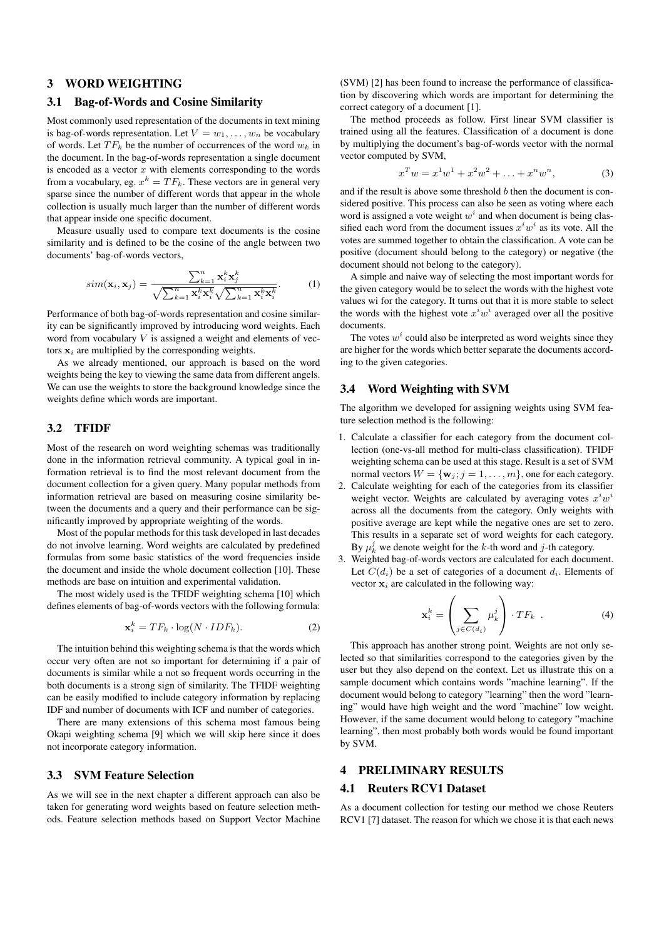#### 3 WORD WEIGHTING

## 3.1 Bag-of-Words and Cosine Similarity

Most commonly used representation of the documents in text mining is bag-of-words representation. Let  $V = w_1, \ldots, w_n$  be vocabulary of words. Let  $TF_k$  be the number of occurrences of the word  $w_k$  in the document. In the bag-of-words representation a single document is encoded as a vector  $x$  with elements corresponding to the words from a vocabulary, eg.  $x^k = TF_k$ . These vectors are in general very sparse since the number of different words that appear in the whole collection is usually much larger than the number of different words that appear inside one specific document.

Measure usually used to compare text documents is the cosine similarity and is defined to be the cosine of the angle between two documents' bag-of-words vectors,

$$
sim(\mathbf{x}_i, \mathbf{x}_j) = \frac{\sum_{k=1}^n \mathbf{x}_i^k \mathbf{x}_j^k}{\sqrt{\sum_{k=1}^n \mathbf{x}_i^k \mathbf{x}_i^k} \sqrt{\sum_{k=1}^n \mathbf{x}_i^k \mathbf{x}_i^k}}.
$$
 (1)

Performance of both bag-of-words representation and cosine similarity can be significantly improved by introducing word weights. Each word from vocabulary  $V$  is assigned a weight and elements of vectors  $x_i$  are multiplied by the corresponding weights.

As we already mentioned, our approach is based on the word weights being the key to viewing the same data from different angels. We can use the weights to store the background knowledge since the weights define which words are important.

## 3.2 TFIDF

Most of the research on word weighting schemas was traditionally done in the information retrieval community. A typical goal in information retrieval is to find the most relevant document from the document collection for a given query. Many popular methods from information retrieval are based on measuring cosine similarity between the documents and a query and their performance can be significantly improved by appropriate weighting of the words.

Most of the popular methods for this task developed in last decades do not involve learning. Word weights are calculated by predefined formulas from some basic statistics of the word frequencies inside the document and inside the whole document collection [10]. These methods are base on intuition and experimental validation.

The most widely used is the TFIDF weighting schema [10] which defines elements of bag-of-words vectors with the following formula:

$$
\mathbf{x}_i^k = TF_k \cdot \log(N \cdot IDF_k). \tag{2}
$$

The intuition behind this weighting schema is that the words which occur very often are not so important for determining if a pair of documents is similar while a not so frequent words occurring in the both documents is a strong sign of similarity. The TFIDF weighting can be easily modified to include category information by replacing IDF and number of documents with ICF and number of categories.

There are many extensions of this schema most famous being Okapi weighting schema [9] which we will skip here since it does not incorporate category information.

#### 3.3 SVM Feature Selection

As we will see in the next chapter a different approach can also be taken for generating word weights based on feature selection methods. Feature selection methods based on Support Vector Machine

(SVM) [2] has been found to increase the performance of classification by discovering which words are important for determining the correct category of a document [1].

The method proceeds as follow. First linear SVM classifier is trained using all the features. Classification of a document is done by multiplying the document's bag-of-words vector with the normal vector computed by SVM,

$$
x^T w = x^1 w^1 + x^2 w^2 + \ldots + x^n w^n,
$$
 (3)

and if the result is above some threshold  $b$  then the document is considered positive. This process can also be seen as voting where each word is assigned a vote weight  $w<sup>i</sup>$  and when document is being classified each word from the document issues  $x^i w^i$  as its vote. All the votes are summed together to obtain the classification. A vote can be positive (document should belong to the category) or negative (the document should not belong to the category).

A simple and naive way of selecting the most important words for the given category would be to select the words with the highest vote values wi for the category. It turns out that it is more stable to select the words with the highest vote  $x^i w^i$  averaged over all the positive documents.

The votes  $w^i$  could also be interpreted as word weights since they are higher for the words which better separate the documents according to the given categories.

#### 3.4 Word Weighting with SVM

The algorithm we developed for assigning weights using SVM feature selection method is the following:

- 1. Calculate a classifier for each category from the document collection (one-vs-all method for multi-class classification). TFIDF weighting schema can be used at this stage. Result is a set of SVM normal vectors  $W = \{w_j; j = 1, \ldots, m\}$ , one for each category.
- 2. Calculate weighting for each of the categories from its classifier weight vector. Weights are calculated by averaging votes  $x^i w^i$ across all the documents from the category. Only weights with positive average are kept while the negative ones are set to zero. This results in a separate set of word weights for each category. By  $\mu_k^j$  we denote weight for the k-th word and j-th category.
- Weighted bag-of-words vectors are calculated for each document. Let  $C(d_i)$  be a set of categories of a document  $d_i$ . Elements of vector  $x_i$  are calculated in the following way:

$$
\mathbf{x}_i^k = \left(\sum_{j \in C(d_i)} \mu_k^j\right) \cdot TF_k \tag{4}
$$

This approach has another strong point. Weights are not only selected so that similarities correspond to the categories given by the user but they also depend on the context. Let us illustrate this on a sample document which contains words "machine learning". If the document would belong to category "learning" then the word "learning" would have high weight and the word "machine" low weight. However, if the same document would belong to category "machine learning", then most probably both words would be found important by SVM.

#### 4 PRELIMINARY RESULTS

#### 4.1 Reuters RCV1 Dataset

As a document collection for testing our method we chose Reuters RCV1 [7] dataset. The reason for which we chose it is that each news